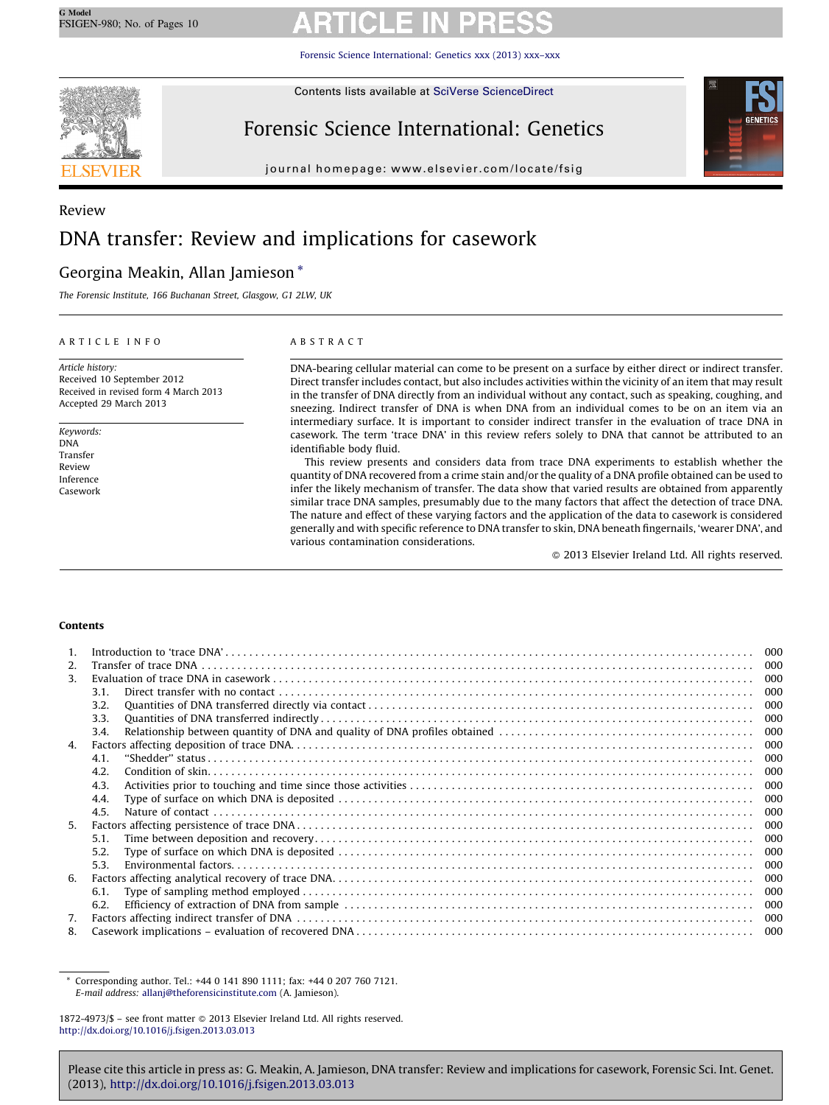Forensic Science [International:](http://dx.doi.org/10.1016/j.fsigen.2013.03.013) Genetics xxx (2013) xxx–xxx



Contents lists available at SciVerse [ScienceDirect](http://www.sciencedirect.com/science/journal/18724973)

# Forensic Science International: Genetics



journal homepage: www.elsevier.com/locate/fsig

# Review DNA transfer: Review and implications for casework

# Georgina Meakin, Allan Jamieson \*

The Forensic Institute, 166 Buchanan Street, Glasgow, G1 2LW, UK

#### A R T I C L E I N F O

Article history: Received 10 September 2012 Received in revised form 4 March 2013 Accepted 29 March 2013

Keywords: DNA Transfer Review Inference Casework

#### A B S T R A C T

DNA-bearing cellular material can come to be present on a surface by either direct or indirect transfer. Direct transfer includes contact, but also includes activities within the vicinity of an item that may result in the transfer of DNA directly from an individual without any contact, such as speaking, coughing, and sneezing. Indirect transfer of DNA is when DNA from an individual comes to be on an item via an intermediary surface. It is important to consider indirect transfer in the evaluation of trace DNA in casework. The term 'trace DNA' in this review refers solely to DNA that cannot be attributed to an identifiable body fluid.

This review presents and considers data from trace DNA experiments to establish whether the quantity of DNA recovered from a crime stain and/or the quality of a DNA profile obtained can be used to infer the likely mechanism of transfer. The data show that varied results are obtained from apparently similar trace DNA samples, presumably due to the many factors that affect the detection of trace DNA. The nature and effect of these varying factors and the application of the data to casework is considered generally and with specific reference to DNA transfer to skin, DNA beneath fingernails, 'wearer DNA', and various contamination considerations.

- 2013 Elsevier Ireland Ltd. All rights reserved.

#### Contents

| $\mathbf{1}$ . |      | 000 |
|----------------|------|-----|
| 2.             |      | 000 |
| 3 <sub>1</sub> |      |     |
|                |      | 000 |
|                | 3.1. | 000 |
|                | 3.2. | 000 |
|                | 3.3. | 000 |
|                | 3.4. | 000 |
| 4.             |      | 000 |
|                | 4.1. | 000 |
|                | 4.2. | 000 |
|                | 4.3. | 000 |
|                | 4.4. | 000 |
|                | 4.5. | 000 |
| 5.             |      | 000 |
|                | 5.1. | 000 |
|                | 5.2. | 000 |
|                | 5.3. | 000 |
| 6.             |      | 000 |
|                | 6.1. | 000 |
|                | 6.2. | 000 |
| 7.             |      | 000 |
| 8.             |      | 000 |
|                |      |     |

Corresponding author. Tel.: +44 0 141 890 1111; fax: +44 0 207 760 7121. E-mail address: [allanj@theforensicinstitute.com](mailto:allanj@theforensicinstitute.com) (A. Jamieson).

 $1872-4973/\$  – see front matter  $\odot$  2013 Elsevier Ireland Ltd. All rights reserved. <http://dx.doi.org/10.1016/j.fsigen.2013.03.013>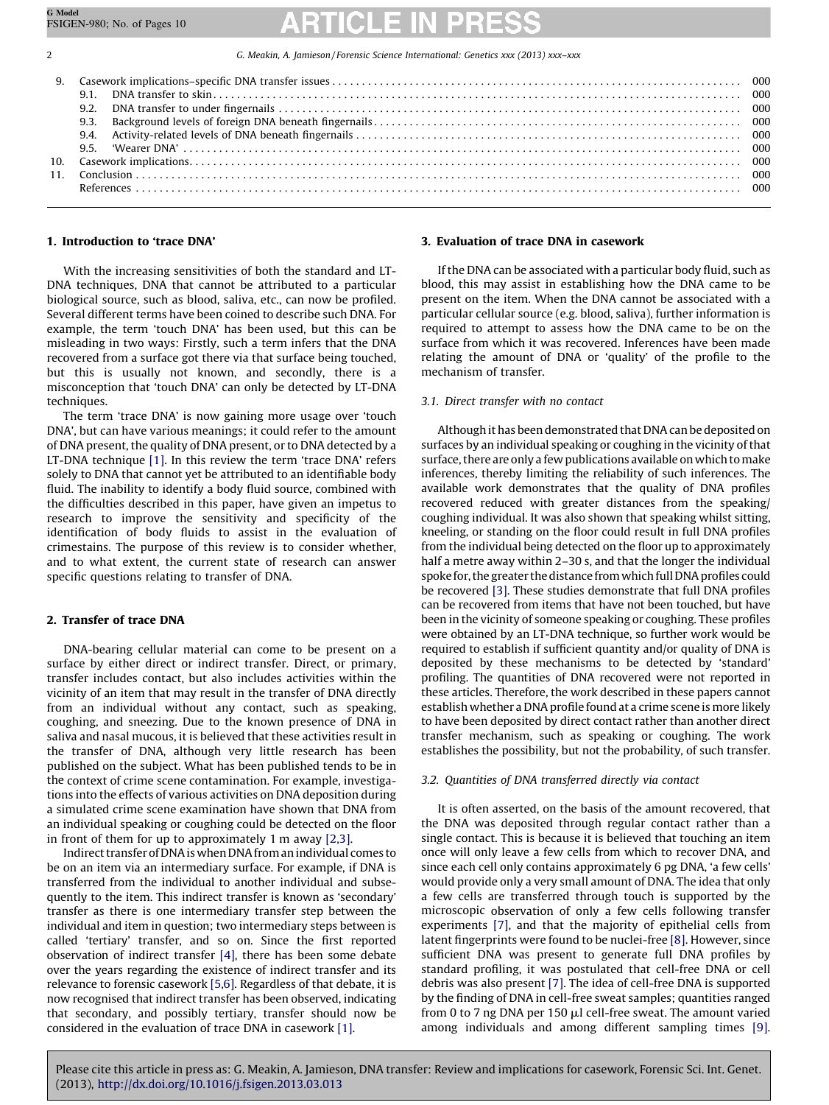| 9. |      |  |  |  |  |  |
|----|------|--|--|--|--|--|
|    |      |  |  |  |  |  |
|    | 9.2. |  |  |  |  |  |
|    | 9.3. |  |  |  |  |  |
|    |      |  |  |  |  |  |
|    |      |  |  |  |  |  |
|    |      |  |  |  |  |  |
|    |      |  |  |  |  |  |
|    |      |  |  |  |  |  |
|    |      |  |  |  |  |  |

## 1. Introduction to 'trace DNA'

With the increasing sensitivities of both the standard and LT-DNA techniques, DNA that cannot be attributed to a particular biological source, such as blood, saliva, etc., can now be profiled. Several different terms have been coined to describe such DNA. For example, the term 'touch DNA' has been used, but this can be misleading in two ways: Firstly, such a term infers that the DNA recovered from a surface got there via that surface being touched, but this is usually not known, and secondly, there is a misconception that 'touch DNA' can only be detected by LT-DNA techniques.

The term 'trace DNA' is now gaining more usage over 'touch DNA', but can have various meanings; it could refer to the amount of DNA present, the quality of DNA present, or to DNA detected by a LT-DNA technique [\[1\]](#page-8-0). In this review the term 'trace DNA' refers solely to DNA that cannot yet be attributed to an identifiable body fluid. The inability to identify a body fluid source, combined with the difficulties described in this paper, have given an impetus to research to improve the sensitivity and specificity of the identification of body fluids to assist in the evaluation of crimestains. The purpose of this review is to consider whether, and to what extent, the current state of research can answer specific questions relating to transfer of DNA.

# 2. Transfer of trace DNA

DNA-bearing cellular material can come to be present on a surface by either direct or indirect transfer. Direct, or primary, transfer includes contact, but also includes activities within the vicinity of an item that may result in the transfer of DNA directly from an individual without any contact, such as speaking, coughing, and sneezing. Due to the known presence of DNA in saliva and nasal mucous, it is believed that these activities result in the transfer of DNA, although very little research has been published on the subject. What has been published tends to be in the context of crime scene contamination. For example, investigations into the effects of various activities on DNA deposition during a simulated crime scene examination have shown that DNA from an individual speaking or coughing could be detected on the floor in front of them for up to approximately 1 m away [\[2,3\].](#page-8-0)

Indirect transfer of DNA is when DNA from an individual comes to be on an item via an intermediary surface. For example, if DNA is transferred from the individual to another individual and subsequently to the item. This indirect transfer is known as 'secondary' transfer as there is one intermediary transfer step between the individual and item in question; two intermediary steps between is called 'tertiary' transfer, and so on. Since the first reported observation of indirect transfer [\[4\],](#page-8-0) there has been some debate over the years regarding the existence of indirect transfer and its relevance to forensic casework [\[5,6\]](#page-8-0). Regardless of that debate, it is now recognised that indirect transfer has been observed, indicating that secondary, and possibly tertiary, transfer should now be considered in the evaluation of trace DNA in casework [\[1\]](#page-8-0).

### 3. Evaluation of trace DNA in casework

If the DNA can be associated with a particular body fluid, such as blood, this may assist in establishing how the DNA came to be present on the item. When the DNA cannot be associated with a particular cellular source (e.g. blood, saliva), further information is required to attempt to assess how the DNA came to be on the surface from which it was recovered. Inferences have been made relating the amount of DNA or 'quality' of the profile to the mechanism of transfer.

#### 3.1. Direct transfer with no contact

Although it has been demonstrated that DNA can be deposited on surfaces by an individual speaking or coughing in the vicinity of that surface, there are only a few publications available on which to make inferences, thereby limiting the reliability of such inferences. The available work demonstrates that the quality of DNA profiles recovered reduced with greater distances from the speaking/ coughing individual. It was also shown that speaking whilst sitting, kneeling, or standing on the floor could result in full DNA profiles from the individual being detected on the floor up to approximately half a metre away within 2-30 s, and that the longer the individual spoke for, the greater the distance from which full DNA profiles could be recovered [\[3\].](#page-8-0) These studies demonstrate that full DNA profiles can be recovered from items that have not been touched, but have been in the vicinity of someone speaking or coughing. These profiles were obtained by an LT-DNA technique, so further work would be required to establish if sufficient quantity and/or quality of DNA is deposited by these mechanisms to be detected by 'standard' profiling. The quantities of DNA recovered were not reported in these articles. Therefore, the work described in these papers cannot establish whether a DNA profile found at a crime scene is more likely to have been deposited by direct contact rather than another direct transfer mechanism, such as speaking or coughing. The work establishes the possibility, but not the probability, of such transfer.

### 3.2. Quantities of DNA transferred directly via contact

It is often asserted, on the basis of the amount recovered, that the DNA was deposited through regular contact rather than a single contact. This is because it is believed that touching an item once will only leave a few cells from which to recover DNA, and since each cell only contains approximately 6 pg DNA, 'a few cells' would provide only a very small amount of DNA. The idea that only a few cells are transferred through touch is supported by the microscopic observation of only a few cells following transfer experiments [\[7\]](#page-8-0), and that the majority of epithelial cells from latent fingerprints were found to be nuclei-free [\[8\].](#page-8-0) However, since sufficient DNA was present to generate full DNA profiles by standard profiling, it was postulated that cell-free DNA or cell debris was also present [\[7\].](#page-8-0) The idea of cell-free DNA is supported by the finding of DNA in cell-free sweat samples; quantities ranged from 0 to 7 ng DNA per 150  $\mu$ l cell-free sweat. The amount varied among individuals and among different sampling times [\[9\].](#page-8-0)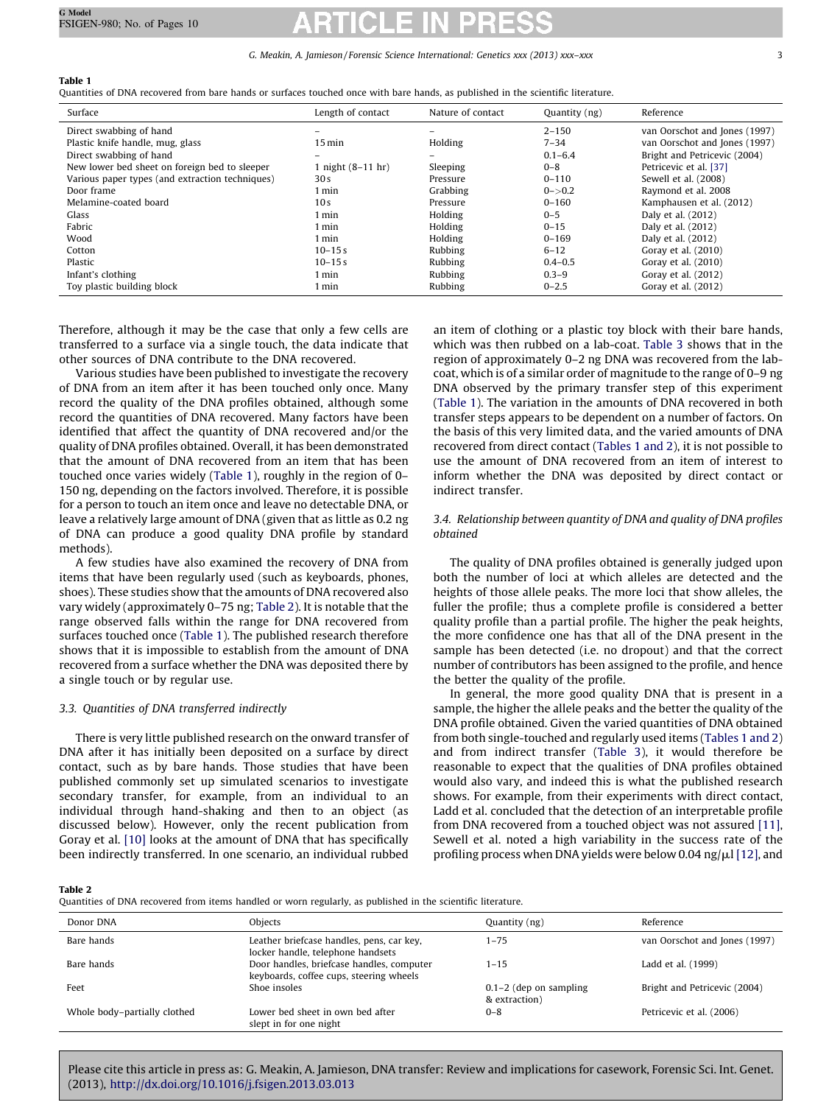#### <span id="page-2-0"></span>Table 1

Quantities of DNA recovered from bare hands or surfaces touched once with bare hands, as published in the scientific literature.

| Surface                                         | Length of contact        | Nature of contact | Quantity (ng)                             | Reference                     |  |
|-------------------------------------------------|--------------------------|-------------------|-------------------------------------------|-------------------------------|--|
| Direct swabbing of hand                         | $\overline{\phantom{0}}$ | $\qquad \qquad =$ | $2 - 150$                                 | van Oorschot and Jones (1997) |  |
| Plastic knife handle, mug, glass                | $15 \,\mathrm{min}$      | Holding           | $7 - 34$<br>van Oorschot and Jones (1997) |                               |  |
| Direct swabbing of hand                         | -                        |                   | $0.1 - 6.4$                               | Bright and Petricevic (2004)  |  |
| New lower bed sheet on foreign bed to sleeper   | l night $(8-11$ hr)      | Sleeping          | $0 - 8$                                   | Petricevic et al. [37]        |  |
| Various paper types (and extraction techniques) | 30 <sub>s</sub>          | Pressure          | $0 - 110$                                 | Sewell et al. (2008)          |  |
| Door frame                                      | l min                    | Grabbing          | $0 - > 0.2$                               | Raymond et al. 2008           |  |
| Melamine-coated board                           | 10 <sub>s</sub>          | Pressure          | $0 - 160$                                 | Kamphausen et al. (2012)      |  |
| Glass                                           | l min                    | Holding           | $0 - 5$                                   | Daly et al. (2012)            |  |
| Fabric                                          | l min                    | Holding           | $0 - 15$                                  | Daly et al. (2012)            |  |
| Wood                                            | l min                    | Holding           | $0 - 169$                                 | Daly et al. (2012)            |  |
| Cotton                                          | $10 - 15s$               | Rubbing           | $6 - 12$                                  | Goray et al. (2010)           |  |
| Plastic                                         | $10 - 15s$               | Rubbing           | $0.4 - 0.5$                               | Goray et al. (2010)           |  |
| Infant's clothing                               | l min                    | Rubbing           | $0.3 - 9$                                 | Goray et al. (2012)           |  |
| Toy plastic building block                      | l min                    | Rubbing           | $0 - 2.5$                                 | Goray et al. (2012)           |  |

Therefore, although it may be the case that only a few cells are transferred to a surface via a single touch, the data indicate that other sources of DNA contribute to the DNA recovered.

Various studies have been published to investigate the recovery of DNA from an item after it has been touched only once. Many record the quality of the DNA profiles obtained, although some record the quantities of DNA recovered. Many factors have been identified that affect the quantity of DNA recovered and/or the quality of DNA profiles obtained. Overall, it has been demonstrated that the amount of DNA recovered from an item that has been touched once varies widely (Table 1), roughly in the region of 0– 150 ng, depending on the factors involved. Therefore, it is possible for a person to touch an item once and leave no detectable DNA, or leave a relatively large amount of DNA (given that as little as 0.2 ng of DNA can produce a good quality DNA profile by standard methods).

A few studies have also examined the recovery of DNA from items that have been regularly used (such as keyboards, phones, shoes). These studies show that the amounts of DNA recovered also vary widely (approximately 0–75 ng; Table 2). It is notable that the range observed falls within the range for DNA recovered from surfaces touched once (Table 1). The published research therefore shows that it is impossible to establish from the amount of DNA recovered from a surface whether the DNA was deposited there by a single touch or by regular use.

#### 3.3. Quantities of DNA transferred indirectly

There is very little published research on the onward transfer of DNA after it has initially been deposited on a surface by direct contact, such as by bare hands. Those studies that have been published commonly set up simulated scenarios to investigate secondary transfer, for example, from an individual to an individual through hand-shaking and then to an object (as discussed below). However, only the recent publication from Goray et al. [\[10\]](#page-8-0) looks at the amount of DNA that has specifically been indirectly transferred. In one scenario, an individual rubbed

an item of clothing or a plastic toy block with their bare hands, which was then rubbed on a lab-coat. [Table](#page-3-0) 3 shows that in the region of approximately 0–2 ng DNA was recovered from the labcoat, which is of a similar order of magnitude to the range of 0–9 ng DNA observed by the primary transfer step of this experiment (Table 1). The variation in the amounts of DNA recovered in both transfer steps appears to be dependent on a number of factors. On the basis of this very limited data, and the varied amounts of DNA recovered from direct contact (Tables 1 and 2), it is not possible to use the amount of DNA recovered from an item of interest to inform whether the DNA was deposited by direct contact or indirect transfer.

#### 3.4. Relationship between quantity of DNA and quality of DNA profiles obtained

The quality of DNA profiles obtained is generally judged upon both the number of loci at which alleles are detected and the heights of those allele peaks. The more loci that show alleles, the fuller the profile; thus a complete profile is considered a better quality profile than a partial profile. The higher the peak heights, the more confidence one has that all of the DNA present in the sample has been detected (i.e. no dropout) and that the correct number of contributors has been assigned to the profile, and hence the better the quality of the profile.

In general, the more good quality DNA that is present in a sample, the higher the allele peaks and the better the quality of the DNA profile obtained. Given the varied quantities of DNA obtained from both single-touched and regularly used items (Tables 1 and 2) and from indirect transfer ([Table](#page-3-0) 3), it would therefore be reasonable to expect that the qualities of DNA profiles obtained would also vary, and indeed this is what the published research shows. For example, from their experiments with direct contact, Ladd et al. concluded that the detection of an interpretable profile from DNA recovered from a touched object was not assured [\[11\],](#page-8-0) Sewell et al. noted a high variability in the success rate of the profiling process when DNA yields were below 0.04 ng/ $\mu$ l [\[12\],](#page-8-0) and

Table 2

Quantities of DNA recovered from items handled or worn regularly, as published in the scientific literature.

| Donor DNA                    | Obiects                                                                              | Quantity (ng)                               | Reference                     |
|------------------------------|--------------------------------------------------------------------------------------|---------------------------------------------|-------------------------------|
| Bare hands                   | Leather briefcase handles, pens, car key,<br>locker handle, telephone handsets       | $1 - 75$                                    | van Oorschot and Jones (1997) |
| Bare hands                   | Door handles, briefcase handles, computer<br>keyboards, coffee cups, steering wheels | $1 - 15$                                    | Ladd et al. (1999)            |
| Feet                         | Shoe insoles                                                                         | $0.1 - 2$ (dep on sampling<br>& extraction) | Bright and Petricevic (2004)  |
| Whole body-partially clothed | Lower bed sheet in own bed after<br>slept in for one night                           | $0 - 8$                                     | Petricevic et al. (2006)      |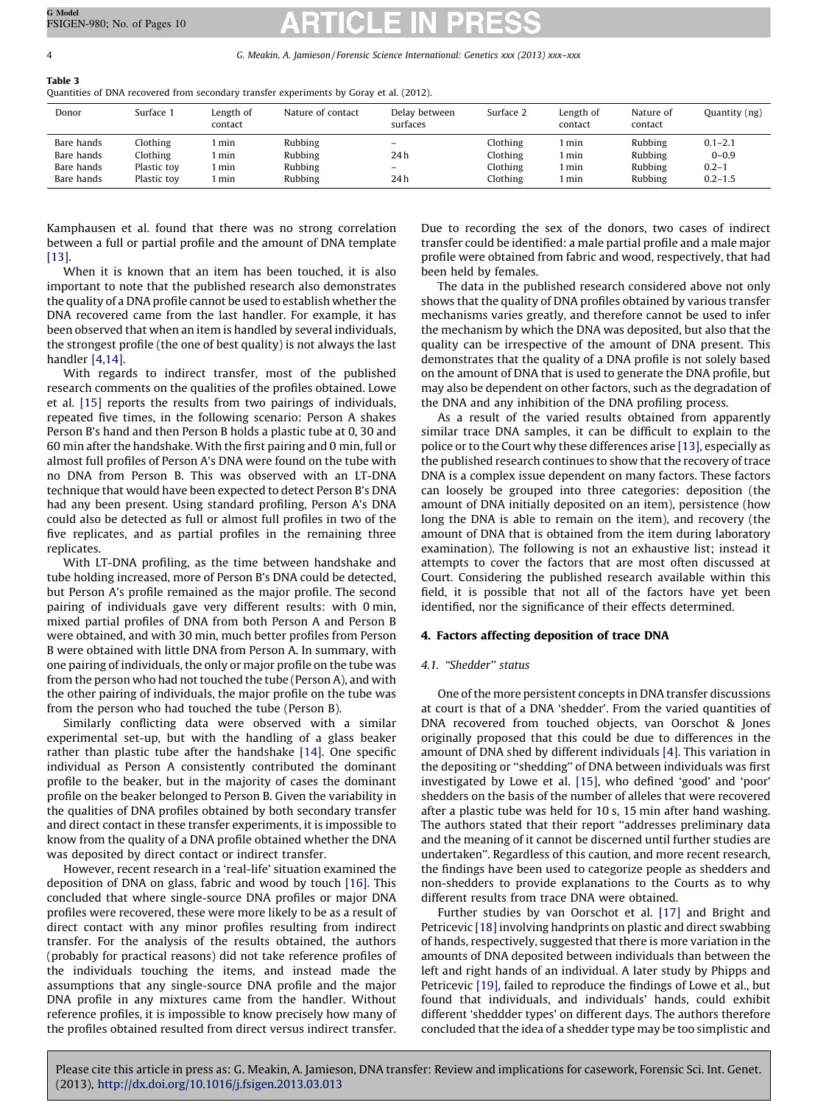<span id="page-3-0"></span>

Table 3

Quantities of DNA recovered from secondary transfer experiments by Goray et al. (2012).

| Donor      | Surface 1   | Length of<br>contact | Nature of contact | Delay between<br>surfaces | Surface 2 | Length of<br>contact | Nature of<br>contact | Quantity (ng) |
|------------|-------------|----------------------|-------------------|---------------------------|-----------|----------------------|----------------------|---------------|
| Bare hands | Clothing    | l min                | Rubbing           | $\qquad \qquad -$         | Clothing  | 1 min                | Rubbing              | $0.1 - 2.1$   |
| Bare hands | Clothing    | l min                | Rubbing           | 24h                       | Clothing  | 1 min                | Rubbing              | $0 - 0.9$     |
| Bare hands | Plastic toy | l min                | Rubbing           | $\overline{\phantom{m}}$  | Clothing  | 1 min                | Rubbing              | $0.2 - 1$     |
| Bare hands | Plastic toy | l min                | Rubbing           | 24h                       | Clothing  | 1 min                | Rubbing              | $0.2 - 1.5$   |

Kamphausen et al. found that there was no strong correlation between a full or partial profile and the amount of DNA template [\[13\]](#page-8-0).

When it is known that an item has been touched, it is also important to note that the published research also demonstrates the quality of a DNA profile cannot be used to establish whether the DNA recovered came from the last handler. For example, it has been observed that when an item is handled by several individuals, the strongest profile (the one of best quality) is not always the last handler [\[4,14\]](#page-8-0).

With regards to indirect transfer, most of the published research comments on the qualities of the profiles obtained. Lowe et al. [\[15\]](#page-9-0) reports the results from two pairings of individuals, repeated five times, in the following scenario: Person A shakes Person B's hand and then Person B holds a plastic tube at 0, 30 and 60 min after the handshake. With the first pairing and 0 min, full or almost full profiles of Person A's DNA were found on the tube with no DNA from Person B. This was observed with an LT-DNA technique that would have been expected to detect Person B's DNA had any been present. Using standard profiling, Person A's DNA could also be detected as full or almost full profiles in two of the five replicates, and as partial profiles in the remaining three replicates.

With LT-DNA profiling, as the time between handshake and tube holding increased, more of Person B's DNA could be detected, but Person A's profile remained as the major profile. The second pairing of individuals gave very different results: with 0 min, mixed partial profiles of DNA from both Person A and Person B were obtained, and with 30 min, much better profiles from Person B were obtained with little DNA from Person A. In summary, with one pairing of individuals, the only or major profile on the tube was from the person who had not touched the tube (Person A), and with the other pairing of individuals, the major profile on the tube was from the person who had touched the tube (Person B).

Similarly conflicting data were observed with a similar experimental set-up, but with the handling of a glass beaker rather than plastic tube after the handshake [\[14\]](#page-9-0). One specific individual as Person A consistently contributed the dominant profile to the beaker, but in the majority of cases the dominant profile on the beaker belonged to Person B. Given the variability in the qualities of DNA profiles obtained by both secondary transfer and direct contact in these transfer experiments, it is impossible to know from the quality of a DNA profile obtained whether the DNA was deposited by direct contact or indirect transfer.

However, recent research in a 'real-life' situation examined the deposition of DNA on glass, fabric and wood by touch [\[16\].](#page-9-0) This concluded that where single-source DNA profiles or major DNA profiles were recovered, these were more likely to be as a result of direct contact with any minor profiles resulting from indirect transfer. For the analysis of the results obtained, the authors (probably for practical reasons) did not take reference profiles of the individuals touching the items, and instead made the assumptions that any single-source DNA profile and the major DNA profile in any mixtures came from the handler. Without reference profiles, it is impossible to know precisely how many of the profiles obtained resulted from direct versus indirect transfer.

Due to recording the sex of the donors, two cases of indirect transfer could be identified: a male partial profile and a male major profile were obtained from fabric and wood, respectively, that had been held by females.

The data in the published research considered above not only shows that the quality of DNA profiles obtained by various transfer mechanisms varies greatly, and therefore cannot be used to infer the mechanism by which the DNA was deposited, but also that the quality can be irrespective of the amount of DNA present. This demonstrates that the quality of a DNA profile is not solely based on the amount of DNA that is used to generate the DNA profile, but may also be dependent on other factors, such as the degradation of the DNA and any inhibition of the DNA profiling process.

As a result of the varied results obtained from apparently similar trace DNA samples, it can be difficult to explain to the police or to the Court why these differences arise [\[13\],](#page-8-0) especially as the published research continues to show that the recovery of trace DNA is a complex issue dependent on many factors. These factors can loosely be grouped into three categories: deposition (the amount of DNA initially deposited on an item), persistence (how long the DNA is able to remain on the item), and recovery (the amount of DNA that is obtained from the item during laboratory examination). The following is not an exhaustive list; instead it attempts to cover the factors that are most often discussed at Court. Considering the published research available within this field, it is possible that not all of the factors have yet been identified, nor the significance of their effects determined.

#### 4. Factors affecting deposition of trace DNA

#### 4.1. ''Shedder'' status

One of the more persistent concepts in DNA transfer discussions at court is that of a DNA 'shedder'. From the varied quantities of DNA recovered from touched objects, van Oorschot & Jones originally proposed that this could be due to differences in the amount of DNA shed by different individuals [\[4\]](#page-8-0). This variation in the depositing or ''shedding'' of DNA between individuals was first investigated by Lowe et al. [\[15\],](#page-9-0) who defined 'good' and 'poor' shedders on the basis of the number of alleles that were recovered after a plastic tube was held for 10 s, 15 min after hand washing. The authors stated that their report ''addresses preliminary data and the meaning of it cannot be discerned until further studies are undertaken''. Regardless of this caution, and more recent research, the findings have been used to categorize people as shedders and non-shedders to provide explanations to the Courts as to why different results from trace DNA were obtained.

Further studies by van Oorschot et al. [\[17\]](#page-9-0) and Bright and Petricevic [\[18\]](#page-9-0) involving handprints on plastic and direct swabbing of hands, respectively, suggested that there is more variation in the amounts of DNA deposited between individuals than between the left and right hands of an individual. A later study by Phipps and Petricevic [\[19\],](#page-9-0) failed to reproduce the findings of Lowe et al., but found that individuals, and individuals' hands, could exhibit different 'sheddder types' on different days. The authors therefore concluded that the idea of a shedder type may be too simplistic and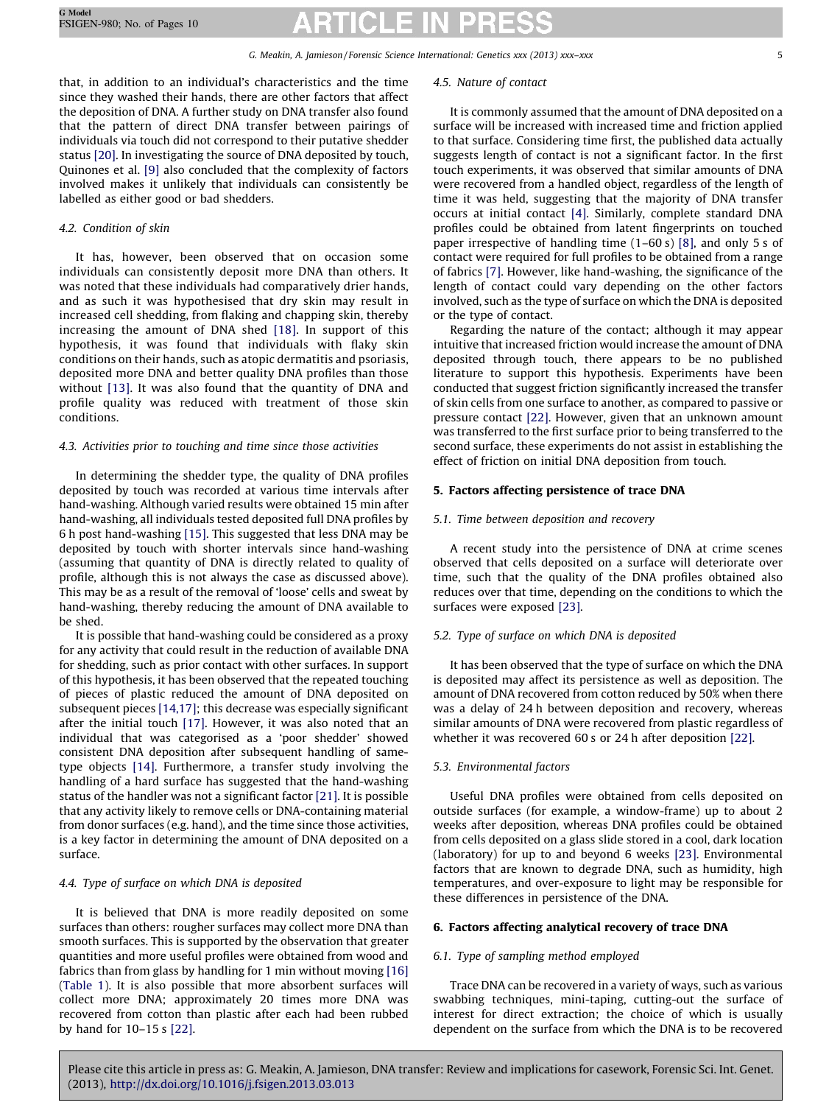that, in addition to an individual's characteristics and the time since they washed their hands, there are other factors that affect the deposition of DNA. A further study on DNA transfer also found that the pattern of direct DNA transfer between pairings of individuals via touch did not correspond to their putative shedder status [\[20\]](#page-9-0). In investigating the source of DNA deposited by touch, Quinones et al. [\[9\]](#page-8-0) also concluded that the complexity of factors involved makes it unlikely that individuals can consistently be labelled as either good or bad shedders.

## 4.2. Condition of skin

It has, however, been observed that on occasion some individuals can consistently deposit more DNA than others. It was noted that these individuals had comparatively drier hands, and as such it was hypothesised that dry skin may result in increased cell shedding, from flaking and chapping skin, thereby increasing the amount of DNA shed [\[18\].](#page-9-0) In support of this hypothesis, it was found that individuals with flaky skin conditions on their hands, such as atopic dermatitis and psoriasis, deposited more DNA and better quality DNA profiles than those without [\[13\]](#page-8-0). It was also found that the quantity of DNA and profile quality was reduced with treatment of those skin conditions.

# 4.3. Activities prior to touching and time since those activities

In determining the shedder type, the quality of DNA profiles deposited by touch was recorded at various time intervals after hand-washing. Although varied results were obtained 15 min after hand-washing, all individuals tested deposited full DNA profiles by 6 h post hand-washing [\[15\]](#page-9-0). This suggested that less DNA may be deposited by touch with shorter intervals since hand-washing (assuming that quantity of DNA is directly related to quality of profile, although this is not always the case as discussed above). This may be as a result of the removal of 'loose' cells and sweat by hand-washing, thereby reducing the amount of DNA available to be shed.

It is possible that hand-washing could be considered as a proxy for any activity that could result in the reduction of available DNA for shedding, such as prior contact with other surfaces. In support of this hypothesis, it has been observed that the repeated touching of pieces of plastic reduced the amount of DNA deposited on subsequent pieces [\[14,17\]](#page-9-0); this decrease was especially significant after the initial touch [\[17\]](#page-9-0). However, it was also noted that an individual that was categorised as a 'poor shedder' showed consistent DNA deposition after subsequent handling of sametype objects [\[14\]](#page-9-0). Furthermore, a transfer study involving the handling of a hard surface has suggested that the hand-washing status of the handler was not a significant factor [\[21\].](#page-9-0) It is possible that any activity likely to remove cells or DNA-containing material from donor surfaces (e.g. hand), and the time since those activities, is a key factor in determining the amount of DNA deposited on a surface.

# 4.4. Type of surface on which DNA is deposited

It is believed that DNA is more readily deposited on some surfaces than others: rougher surfaces may collect more DNA than smooth surfaces. This is supported by the observation that greater quantities and more useful profiles were obtained from wood and fabrics than from glass by handling for 1 min without moving [\[16\]](#page-9-0) ([Table](#page-2-0) 1). It is also possible that more absorbent surfaces will collect more DNA; approximately 20 times more DNA was recovered from cotton than plastic after each had been rubbed by hand for 10–15 s [\[22\]](#page-9-0).

## 4.5. Nature of contact

It is commonly assumed that the amount of DNA deposited on a surface will be increased with increased time and friction applied to that surface. Considering time first, the published data actually suggests length of contact is not a significant factor. In the first touch experiments, it was observed that similar amounts of DNA were recovered from a handled object, regardless of the length of time it was held, suggesting that the majority of DNA transfer occurs at initial contact [\[4\]](#page-8-0). Similarly, complete standard DNA profiles could be obtained from latent fingerprints on touched paper irrespective of handling time (1–60 s) [\[8\],](#page-8-0) and only 5 s of contact were required for full profiles to be obtained from a range of fabrics [\[7\].](#page-8-0) However, like hand-washing, the significance of the length of contact could vary depending on the other factors involved, such as the type of surface on which the DNA is deposited or the type of contact.

Regarding the nature of the contact; although it may appear intuitive that increased friction would increase the amount of DNA deposited through touch, there appears to be no published literature to support this hypothesis. Experiments have been conducted that suggest friction significantly increased the transfer of skin cells from one surface to another, as compared to passive or pressure contact [\[22\]](#page-9-0). However, given that an unknown amount was transferred to the first surface prior to being transferred to the second surface, these experiments do not assist in establishing the effect of friction on initial DNA deposition from touch.

# 5. Factors affecting persistence of trace DNA

# 5.1. Time between deposition and recovery

A recent study into the persistence of DNA at crime scenes observed that cells deposited on a surface will deteriorate over time, such that the quality of the DNA profiles obtained also reduces over that time, depending on the conditions to which the surfaces were exposed [\[23\]](#page-9-0).

# 5.2. Type of surface on which DNA is deposited

It has been observed that the type of surface on which the DNA is deposited may affect its persistence as well as deposition. The amount of DNA recovered from cotton reduced by 50% when there was a delay of 24 h between deposition and recovery, whereas similar amounts of DNA were recovered from plastic regardless of whether it was recovered 60 s or 24 h after deposition [\[22\].](#page-9-0)

# 5.3. Environmental factors

Useful DNA profiles were obtained from cells deposited on outside surfaces (for example, a window-frame) up to about 2 weeks after deposition, whereas DNA profiles could be obtained from cells deposited on a glass slide stored in a cool, dark location (laboratory) for up to and beyond 6 weeks [\[23\].](#page-9-0) Environmental factors that are known to degrade DNA, such as humidity, high temperatures, and over-exposure to light may be responsible for these differences in persistence of the DNA.

# 6. Factors affecting analytical recovery of trace DNA

### 6.1. Type of sampling method employed

Trace DNA can be recovered in a variety of ways, such as various swabbing techniques, mini-taping, cutting-out the surface of interest for direct extraction; the choice of which is usually dependent on the surface from which the DNA is to be recovered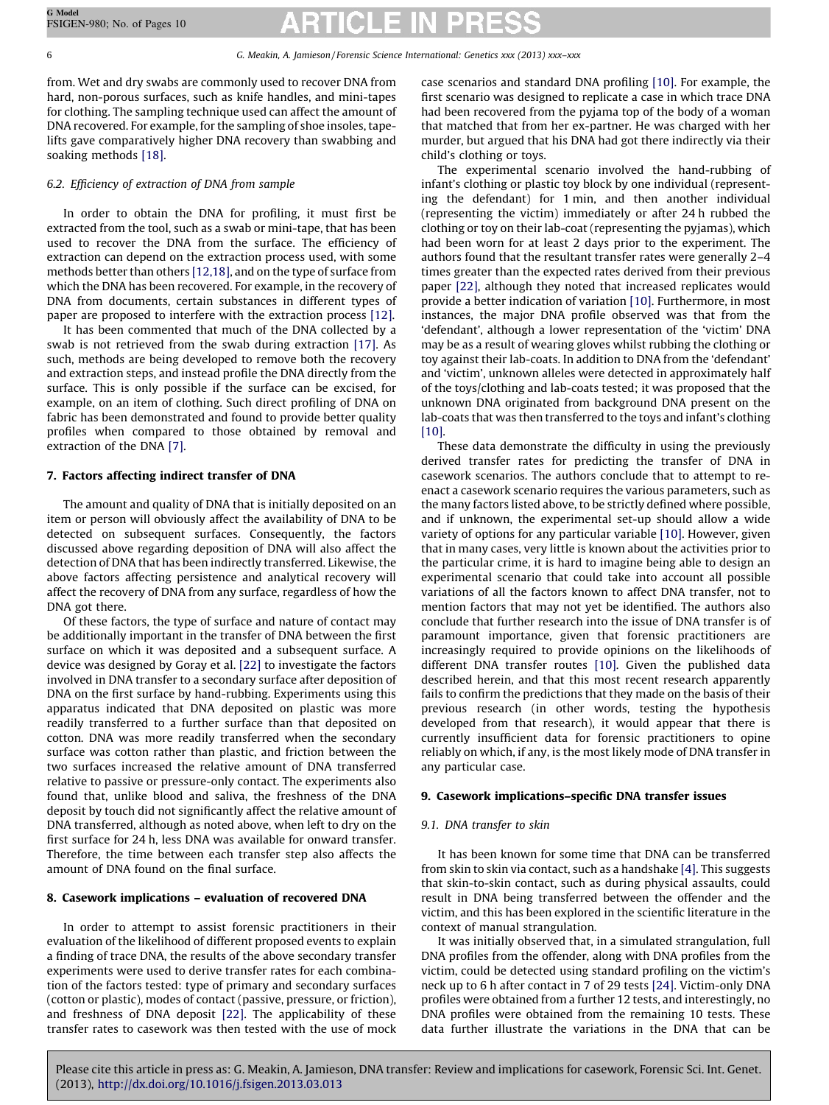from. Wet and dry swabs are commonly used to recover DNA from hard, non-porous surfaces, such as knife handles, and mini-tapes for clothing. The sampling technique used can affect the amount of DNA recovered. For example, for the sampling of shoe insoles, tapelifts gave comparatively higher DNA recovery than swabbing and soaking methods [\[18\].](#page-9-0)

## 6.2. Efficiency of extraction of DNA from sample

In order to obtain the DNA for profiling, it must first be extracted from the tool, such as a swab or mini-tape, that has been used to recover the DNA from the surface. The efficiency of extraction can depend on the extraction process used, with some methods better than others [\[12,18\]](#page-8-0), and on the type of surface from which the DNA has been recovered. For example, in the recovery of DNA from documents, certain substances in different types of paper are proposed to interfere with the extraction process [\[12\].](#page-8-0)

It has been commented that much of the DNA collected by a swab is not retrieved from the swab during extraction [\[17\]](#page-9-0). As such, methods are being developed to remove both the recovery and extraction steps, and instead profile the DNA directly from the surface. This is only possible if the surface can be excised, for example, on an item of clothing. Such direct profiling of DNA on fabric has been demonstrated and found to provide better quality profiles when compared to those obtained by removal and extraction of the DNA [\[7\].](#page-8-0)

## 7. Factors affecting indirect transfer of DNA

The amount and quality of DNA that is initially deposited on an item or person will obviously affect the availability of DNA to be detected on subsequent surfaces. Consequently, the factors discussed above regarding deposition of DNA will also affect the detection of DNA that has been indirectly transferred. Likewise, the above factors affecting persistence and analytical recovery will affect the recovery of DNA from any surface, regardless of how the DNA got there.

Of these factors, the type of surface and nature of contact may be additionally important in the transfer of DNA between the first surface on which it was deposited and a subsequent surface. A device was designed by Goray et al. [\[22\]](#page-9-0) to investigate the factors involved in DNA transfer to a secondary surface after deposition of DNA on the first surface by hand-rubbing. Experiments using this apparatus indicated that DNA deposited on plastic was more readily transferred to a further surface than that deposited on cotton. DNA was more readily transferred when the secondary surface was cotton rather than plastic, and friction between the two surfaces increased the relative amount of DNA transferred relative to passive or pressure-only contact. The experiments also found that, unlike blood and saliva, the freshness of the DNA deposit by touch did not significantly affect the relative amount of DNA transferred, although as noted above, when left to dry on the first surface for 24 h, less DNA was available for onward transfer. Therefore, the time between each transfer step also affects the amount of DNA found on the final surface.

# 8. Casework implications – evaluation of recovered DNA

In order to attempt to assist forensic practitioners in their evaluation of the likelihood of different proposed events to explain a finding of trace DNA, the results of the above secondary transfer experiments were used to derive transfer rates for each combination of the factors tested: type of primary and secondary surfaces (cotton or plastic), modes of contact (passive, pressure, or friction), and freshness of DNA deposit [\[22\]](#page-9-0). The applicability of these transfer rates to casework was then tested with the use of mock case scenarios and standard DNA profiling [\[10\]](#page-8-0). For example, the first scenario was designed to replicate a case in which trace DNA had been recovered from the pyjama top of the body of a woman that matched that from her ex-partner. He was charged with her murder, but argued that his DNA had got there indirectly via their child's clothing or toys.

The experimental scenario involved the hand-rubbing of infant's clothing or plastic toy block by one individual (representing the defendant) for 1 min, and then another individual (representing the victim) immediately or after 24 h rubbed the clothing or toy on their lab-coat (representing the pyjamas), which had been worn for at least 2 days prior to the experiment. The authors found that the resultant transfer rates were generally 2–4 times greater than the expected rates derived from their previous paper [\[22\]](#page-9-0), although they noted that increased replicates would provide a better indication of variation [\[10\]](#page-8-0). Furthermore, in most instances, the major DNA profile observed was that from the 'defendant', although a lower representation of the 'victim' DNA may be as a result of wearing gloves whilst rubbing the clothing or toy against their lab-coats. In addition to DNA from the 'defendant' and 'victim', unknown alleles were detected in approximately half of the toys/clothing and lab-coats tested; it was proposed that the unknown DNA originated from background DNA present on the lab-coats that was then transferred to the toys and infant's clothing [\[10\]](#page-8-0).

These data demonstrate the difficulty in using the previously derived transfer rates for predicting the transfer of DNA in casework scenarios. The authors conclude that to attempt to reenact a casework scenario requires the various parameters, such as the many factors listed above, to be strictly defined where possible, and if unknown, the experimental set-up should allow a wide variety of options for any particular variable [\[10\].](#page-8-0) However, given that in many cases, very little is known about the activities prior to the particular crime, it is hard to imagine being able to design an experimental scenario that could take into account all possible variations of all the factors known to affect DNA transfer, not to mention factors that may not yet be identified. The authors also conclude that further research into the issue of DNA transfer is of paramount importance, given that forensic practitioners are increasingly required to provide opinions on the likelihoods of different DNA transfer routes [\[10\].](#page-8-0) Given the published data described herein, and that this most recent research apparently fails to confirm the predictions that they made on the basis of their previous research (in other words, testing the hypothesis developed from that research), it would appear that there is currently insufficient data for forensic practitioners to opine reliably on which, if any, is the most likely mode of DNA transfer in any particular case.

### 9. Casework implications–specific DNA transfer issues

### 9.1. DNA transfer to skin

It has been known for some time that DNA can be transferred from skin to skin via contact, such as a handshake [\[4\]](#page-8-0). This suggests that skin-to-skin contact, such as during physical assaults, could result in DNA being transferred between the offender and the victim, and this has been explored in the scientific literature in the context of manual strangulation.

It was initially observed that, in a simulated strangulation, full DNA profiles from the offender, along with DNA profiles from the victim, could be detected using standard profiling on the victim's neck up to 6 h after contact in 7 of 29 tests [\[24\]](#page-9-0). Victim-only DNA profiles were obtained from a further 12 tests, and interestingly, no DNA profiles were obtained from the remaining 10 tests. These data further illustrate the variations in the DNA that can be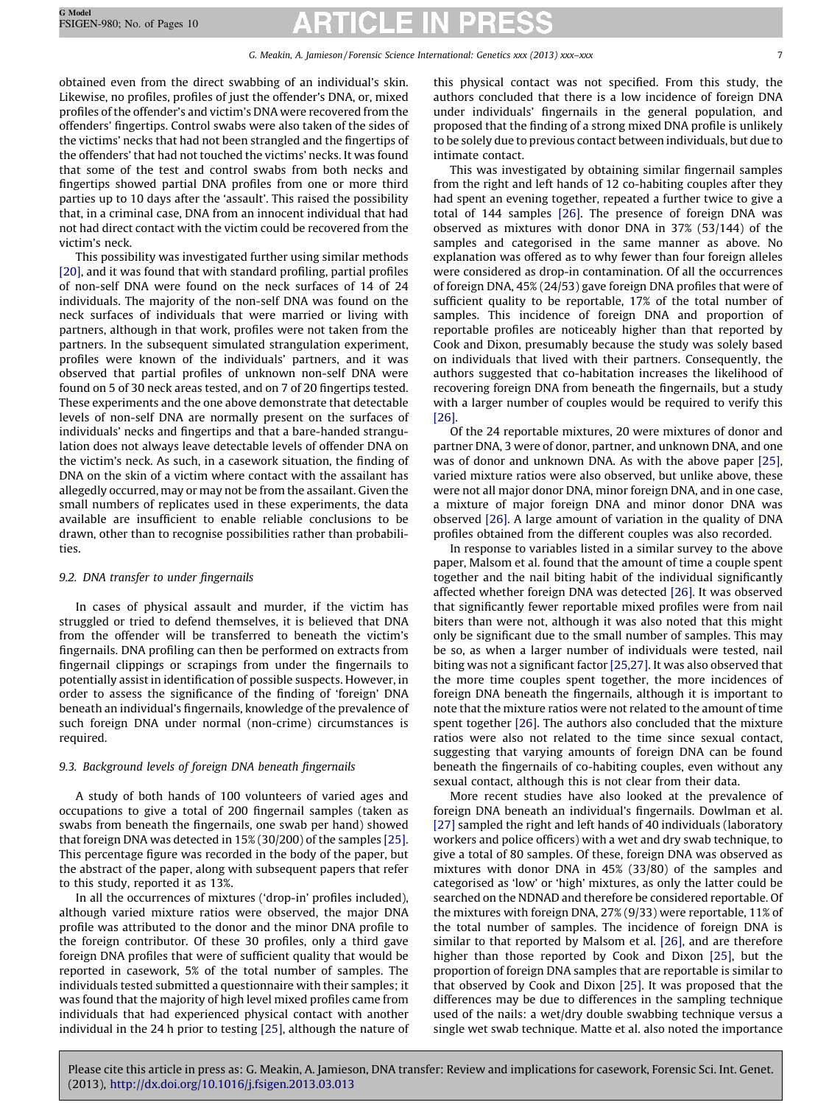obtained even from the direct swabbing of an individual's skin. Likewise, no profiles, profiles of just the offender's DNA, or, mixed profiles of the offender's and victim's DNA were recovered from the offenders' fingertips. Control swabs were also taken of the sides of the victims' necks that had not been strangled and the fingertips of the offenders' that had not touched the victims' necks. It was found that some of the test and control swabs from both necks and fingertips showed partial DNA profiles from one or more third parties up to 10 days after the 'assault'. This raised the possibility that, in a criminal case, DNA from an innocent individual that had not had direct contact with the victim could be recovered from the victim's neck.

This possibility was investigated further using similar methods [\[20\]](#page-9-0), and it was found that with standard profiling, partial profiles of non-self DNA were found on the neck surfaces of 14 of 24 individuals. The majority of the non-self DNA was found on the neck surfaces of individuals that were married or living with partners, although in that work, profiles were not taken from the partners. In the subsequent simulated strangulation experiment, profiles were known of the individuals' partners, and it was observed that partial profiles of unknown non-self DNA were found on 5 of 30 neck areas tested, and on 7 of 20 fingertips tested. These experiments and the one above demonstrate that detectable levels of non-self DNA are normally present on the surfaces of individuals' necks and fingertips and that a bare-handed strangulation does not always leave detectable levels of offender DNA on the victim's neck. As such, in a casework situation, the finding of DNA on the skin of a victim where contact with the assailant has allegedly occurred, may or may not be from the assailant. Given the small numbers of replicates used in these experiments, the data available are insufficient to enable reliable conclusions to be drawn, other than to recognise possibilities rather than probabilities.

### 9.2. DNA transfer to under fingernails

In cases of physical assault and murder, if the victim has struggled or tried to defend themselves, it is believed that DNA from the offender will be transferred to beneath the victim's fingernails. DNA profiling can then be performed on extracts from fingernail clippings or scrapings from under the fingernails to potentially assist in identification of possible suspects. However, in order to assess the significance of the finding of 'foreign' DNA beneath an individual's fingernails, knowledge of the prevalence of such foreign DNA under normal (non-crime) circumstances is required.

# 9.3. Background levels of foreign DNA beneath fingernails

A study of both hands of 100 volunteers of varied ages and occupations to give a total of 200 fingernail samples (taken as swabs from beneath the fingernails, one swab per hand) showed that foreign DNA was detected in 15% (30/200) of the samples [\[25\].](#page-9-0) This percentage figure was recorded in the body of the paper, but the abstract of the paper, along with subsequent papers that refer to this study, reported it as 13%.

In all the occurrences of mixtures ('drop-in' profiles included), although varied mixture ratios were observed, the major DNA profile was attributed to the donor and the minor DNA profile to the foreign contributor. Of these 30 profiles, only a third gave foreign DNA profiles that were of sufficient quality that would be reported in casework, 5% of the total number of samples. The individuals tested submitted a questionnaire with their samples; it was found that the majority of high level mixed profiles came from individuals that had experienced physical contact with another individual in the 24 h prior to testing [\[25\]](#page-9-0), although the nature of this physical contact was not specified. From this study, the authors concluded that there is a low incidence of foreign DNA under individuals' fingernails in the general population, and proposed that the finding of a strong mixed DNA profile is unlikely to be solely due to previous contact between individuals, but due to intimate contact.

This was investigated by obtaining similar fingernail samples from the right and left hands of 12 co-habiting couples after they had spent an evening together, repeated a further twice to give a total of 144 samples [\[26\].](#page-9-0) The presence of foreign DNA was observed as mixtures with donor DNA in 37% (53/144) of the samples and categorised in the same manner as above. No explanation was offered as to why fewer than four foreign alleles were considered as drop-in contamination. Of all the occurrences of foreign DNA, 45% (24/53) gave foreign DNA profiles that were of sufficient quality to be reportable, 17% of the total number of samples. This incidence of foreign DNA and proportion of reportable profiles are noticeably higher than that reported by Cook and Dixon, presumably because the study was solely based on individuals that lived with their partners. Consequently, the authors suggested that co-habitation increases the likelihood of recovering foreign DNA from beneath the fingernails, but a study with a larger number of couples would be required to verify this [\[26\]](#page-9-0).

Of the 24 reportable mixtures, 20 were mixtures of donor and partner DNA, 3 were of donor, partner, and unknown DNA, and one was of donor and unknown DNA. As with the above paper [\[25\],](#page-9-0) varied mixture ratios were also observed, but unlike above, these were not all major donor DNA, minor foreign DNA, and in one case, a mixture of major foreign DNA and minor donor DNA was observed [\[26\].](#page-9-0) A large amount of variation in the quality of DNA profiles obtained from the different couples was also recorded.

In response to variables listed in a similar survey to the above paper, Malsom et al. found that the amount of time a couple spent together and the nail biting habit of the individual significantly affected whether foreign DNA was detected [\[26\].](#page-9-0) It was observed that significantly fewer reportable mixed profiles were from nail biters than were not, although it was also noted that this might only be significant due to the small number of samples. This may be so, as when a larger number of individuals were tested, nail biting was not a significant factor [\[25,27\].](#page-9-0) It was also observed that the more time couples spent together, the more incidences of foreign DNA beneath the fingernails, although it is important to note that the mixture ratios were not related to the amount of time spent together [\[26\].](#page-9-0) The authors also concluded that the mixture ratios were also not related to the time since sexual contact, suggesting that varying amounts of foreign DNA can be found beneath the fingernails of co-habiting couples, even without any sexual contact, although this is not clear from their data.

More recent studies have also looked at the prevalence of foreign DNA beneath an individual's fingernails. Dowlman et al. [\[27\]](#page-9-0) sampled the right and left hands of 40 individuals (laboratory workers and police officers) with a wet and dry swab technique, to give a total of 80 samples. Of these, foreign DNA was observed as mixtures with donor DNA in 45% (33/80) of the samples and categorised as 'low' or 'high' mixtures, as only the latter could be searched on the NDNAD and therefore be considered reportable. Of the mixtures with foreign DNA, 27% (9/33) were reportable, 11% of the total number of samples. The incidence of foreign DNA is similar to that reported by Malsom et al. [\[26\]](#page-9-0), and are therefore higher than those reported by Cook and Dixon [\[25\],](#page-9-0) but the proportion of foreign DNA samples that are reportable is similar to that observed by Cook and Dixon [\[25\]](#page-9-0). It was proposed that the differences may be due to differences in the sampling technique used of the nails: a wet/dry double swabbing technique versus a single wet swab technique. Matte et al. also noted the importance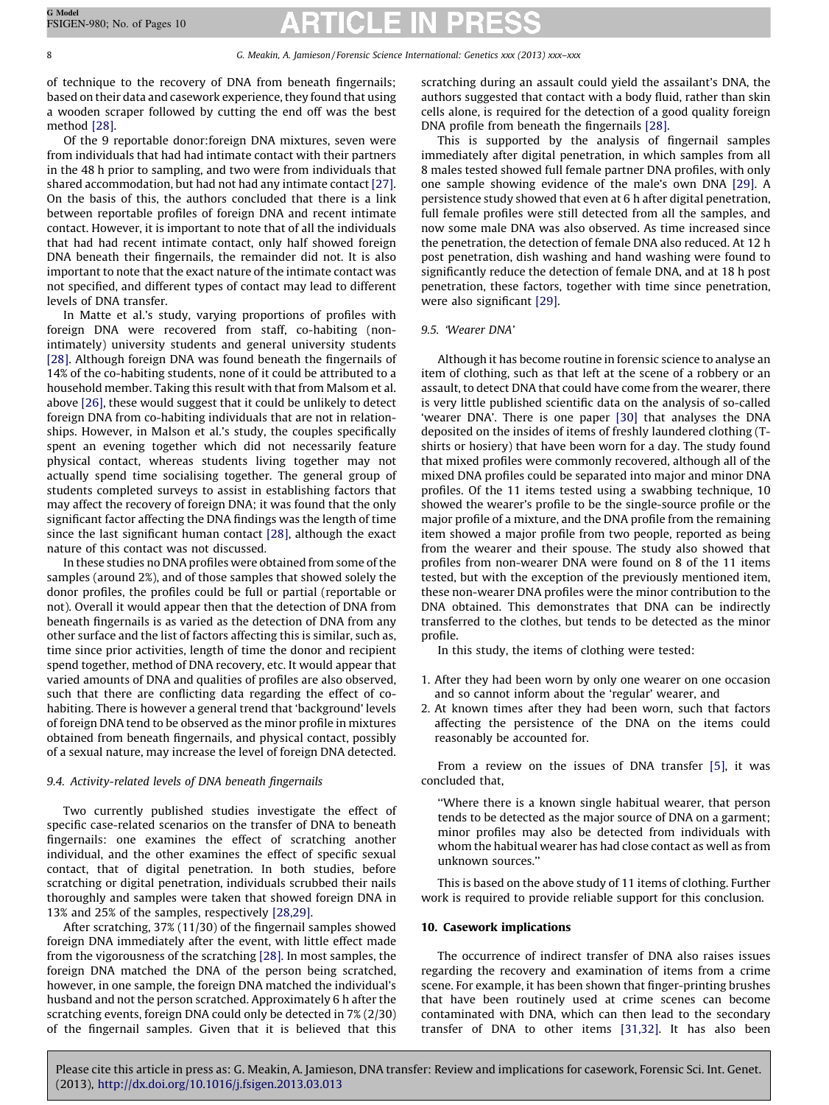of technique to the recovery of DNA from beneath fingernails; based on their data and casework experience, they found that using a wooden scraper followed by cutting the end off was the best method [\[28\].](#page-9-0)

Of the 9 reportable donor:foreign DNA mixtures, seven were from individuals that had had intimate contact with their partners in the 48 h prior to sampling, and two were from individuals that shared accommodation, but had not had any intimate contact [\[27\].](#page-9-0) On the basis of this, the authors concluded that there is a link between reportable profiles of foreign DNA and recent intimate contact. However, it is important to note that of all the individuals that had had recent intimate contact, only half showed foreign DNA beneath their fingernails, the remainder did not. It is also important to note that the exact nature of the intimate contact was not specified, and different types of contact may lead to different levels of DNA transfer.

In Matte et al.'s study, varying proportions of profiles with foreign DNA were recovered from staff, co-habiting (nonintimately) university students and general university students [\[28\]](#page-9-0). Although foreign DNA was found beneath the fingernails of 14% of the co-habiting students, none of it could be attributed to a household member. Taking this result with that from Malsom et al. above [\[26\]](#page-9-0), these would suggest that it could be unlikely to detect foreign DNA from co-habiting individuals that are not in relationships. However, in Malson et al.'s study, the couples specifically spent an evening together which did not necessarily feature physical contact, whereas students living together may not actually spend time socialising together. The general group of students completed surveys to assist in establishing factors that may affect the recovery of foreign DNA; it was found that the only significant factor affecting the DNA findings was the length of time since the last significant human contact [\[28\]](#page-9-0), although the exact nature of this contact was not discussed.

In these studies no DNA profiles were obtained from some of the samples (around 2%), and of those samples that showed solely the donor profiles, the profiles could be full or partial (reportable or not). Overall it would appear then that the detection of DNA from beneath fingernails is as varied as the detection of DNA from any other surface and the list of factors affecting this is similar, such as, time since prior activities, length of time the donor and recipient spend together, method of DNA recovery, etc. It would appear that varied amounts of DNA and qualities of profiles are also observed, such that there are conflicting data regarding the effect of cohabiting. There is however a general trend that 'background' levels of foreign DNA tend to be observed as the minor profile in mixtures obtained from beneath fingernails, and physical contact, possibly of a sexual nature, may increase the level of foreign DNA detected.

### 9.4. Activity-related levels of DNA beneath fingernails

Two currently published studies investigate the effect of specific case-related scenarios on the transfer of DNA to beneath fingernails: one examines the effect of scratching another individual, and the other examines the effect of specific sexual contact, that of digital penetration. In both studies, before scratching or digital penetration, individuals scrubbed their nails thoroughly and samples were taken that showed foreign DNA in 13% and 25% of the samples, respectively [\[28,29\]](#page-9-0).

After scratching, 37% (11/30) of the fingernail samples showed foreign DNA immediately after the event, with little effect made from the vigorousness of the scratching [\[28\].](#page-9-0) In most samples, the foreign DNA matched the DNA of the person being scratched, however, in one sample, the foreign DNA matched the individual's husband and not the person scratched. Approximately 6 h after the scratching events, foreign DNA could only be detected in 7% (2/30) of the fingernail samples. Given that it is believed that this scratching during an assault could yield the assailant's DNA, the authors suggested that contact with a body fluid, rather than skin cells alone, is required for the detection of a good quality foreign DNA profile from beneath the fingernails [\[28\]](#page-9-0).

This is supported by the analysis of fingernail samples immediately after digital penetration, in which samples from all 8 males tested showed full female partner DNA profiles, with only one sample showing evidence of the male's own DNA [\[29\]](#page-9-0). A persistence study showed that even at 6 h after digital penetration, full female profiles were still detected from all the samples, and now some male DNA was also observed. As time increased since the penetration, the detection of female DNA also reduced. At 12 h post penetration, dish washing and hand washing were found to significantly reduce the detection of female DNA, and at 18 h post penetration, these factors, together with time since penetration, were also significant [\[29\].](#page-9-0)

#### 9.5. 'Wearer DNA'

Although it has become routine in forensic science to analyse an item of clothing, such as that left at the scene of a robbery or an assault, to detect DNA that could have come from the wearer, there is very little published scientific data on the analysis of so-called 'wearer DNA'. There is one paper [\[30\]](#page-9-0) that analyses the DNA deposited on the insides of items of freshly laundered clothing (Tshirts or hosiery) that have been worn for a day. The study found that mixed profiles were commonly recovered, although all of the mixed DNA profiles could be separated into major and minor DNA profiles. Of the 11 items tested using a swabbing technique, 10 showed the wearer's profile to be the single-source profile or the major profile of a mixture, and the DNA profile from the remaining item showed a major profile from two people, reported as being from the wearer and their spouse. The study also showed that profiles from non-wearer DNA were found on 8 of the 11 items tested, but with the exception of the previously mentioned item, these non-wearer DNA profiles were the minor contribution to the DNA obtained. This demonstrates that DNA can be indirectly transferred to the clothes, but tends to be detected as the minor profile.

In this study, the items of clothing were tested:

- 1. After they had been worn by only one wearer on one occasion and so cannot inform about the 'regular' wearer, and
- 2. At known times after they had been worn, such that factors affecting the persistence of the DNA on the items could reasonably be accounted for.

From a review on the issues of DNA transfer [\[5\]](#page-8-0), it was concluded that,

''Where there is a known single habitual wearer, that person tends to be detected as the major source of DNA on a garment; minor profiles may also be detected from individuals with whom the habitual wearer has had close contact as well as from unknown sources.''

This is based on the above study of 11 items of clothing. Further work is required to provide reliable support for this conclusion.

#### 10. Casework implications

The occurrence of indirect transfer of DNA also raises issues regarding the recovery and examination of items from a crime scene. For example, it has been shown that finger-printing brushes that have been routinely used at crime scenes can become contaminated with DNA, which can then lead to the secondary transfer of DNA to other items [\[31,32\]](#page-9-0). It has also been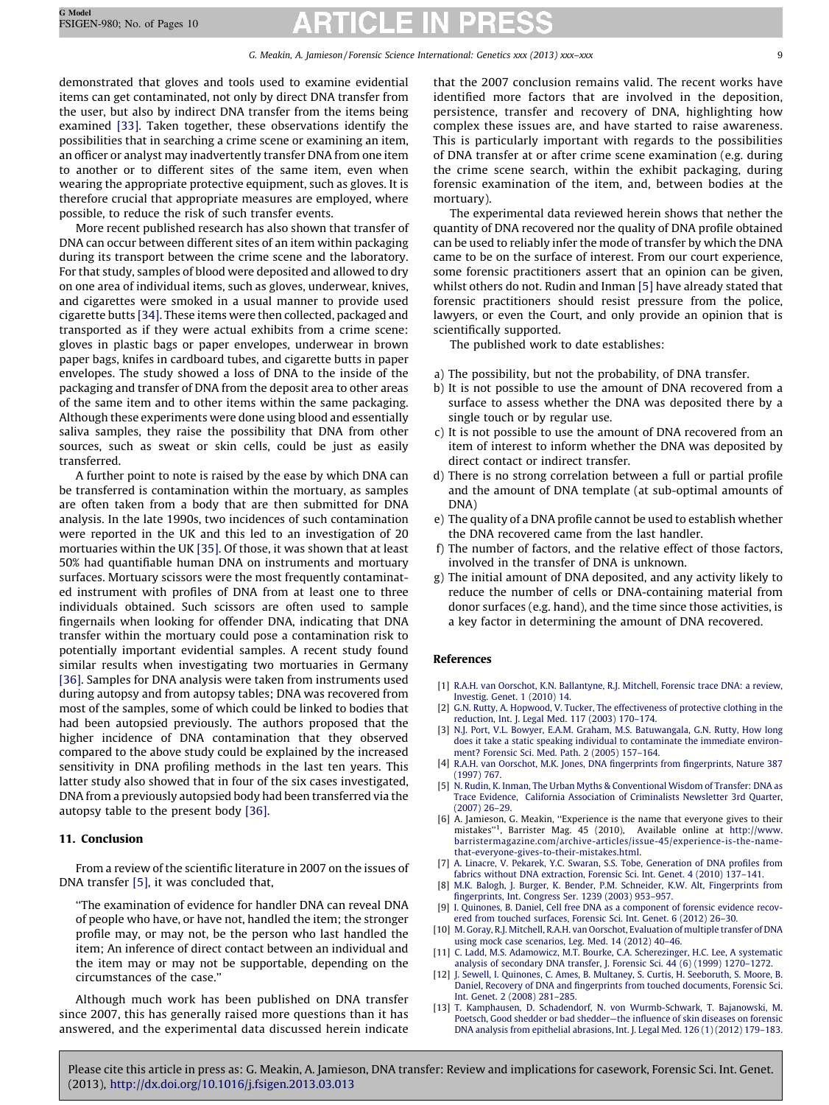<span id="page-8-0"></span>demonstrated that gloves and tools used to examine evidential items can get contaminated, not only by direct DNA transfer from the user, but also by indirect DNA transfer from the items being examined [\[33\].](#page-9-0) Taken together, these observations identify the possibilities that in searching a crime scene or examining an item, an officer or analyst may inadvertently transfer DNA from one item to another or to different sites of the same item, even when wearing the appropriate protective equipment, such as gloves. It is therefore crucial that appropriate measures are employed, where possible, to reduce the risk of such transfer events.

More recent published research has also shown that transfer of DNA can occur between different sites of an item within packaging during its transport between the crime scene and the laboratory. For that study, samples of blood were deposited and allowed to dry on one area of individual items, such as gloves, underwear, knives, and cigarettes were smoked in a usual manner to provide used cigarette butts [\[34\].](#page-9-0) These items were then collected, packaged and transported as if they were actual exhibits from a crime scene: gloves in plastic bags or paper envelopes, underwear in brown paper bags, knifes in cardboard tubes, and cigarette butts in paper envelopes. The study showed a loss of DNA to the inside of the packaging and transfer of DNA from the deposit area to other areas of the same item and to other items within the same packaging. Although these experiments were done using blood and essentially saliva samples, they raise the possibility that DNA from other sources, such as sweat or skin cells, could be just as easily transferred.

A further point to note is raised by the ease by which DNA can be transferred is contamination within the mortuary, as samples are often taken from a body that are then submitted for DNA analysis. In the late 1990s, two incidences of such contamination were reported in the UK and this led to an investigation of 20 mortuaries within the UK [\[35\]](#page-9-0). Of those, it was shown that at least 50% had quantifiable human DNA on instruments and mortuary surfaces. Mortuary scissors were the most frequently contaminated instrument with profiles of DNA from at least one to three individuals obtained. Such scissors are often used to sample fingernails when looking for offender DNA, indicating that DNA transfer within the mortuary could pose a contamination risk to potentially important evidential samples. A recent study found similar results when investigating two mortuaries in Germany [\[36\]](#page-9-0). Samples for DNA analysis were taken from instruments used during autopsy and from autopsy tables; DNA was recovered from most of the samples, some of which could be linked to bodies that had been autopsied previously. The authors proposed that the higher incidence of DNA contamination that they observed compared to the above study could be explained by the increased sensitivity in DNA profiling methods in the last ten years. This latter study also showed that in four of the six cases investigated, DNA from a previously autopsied body had been transferred via the autopsy table to the present body [\[36\].](#page-9-0)

### 11. Conclusion

From a review of the scientific literature in 2007 on the issues of DNA transfer [5], it was concluded that,

''The examination of evidence for handler DNA can reveal DNA of people who have, or have not, handled the item; the stronger profile may, or may not, be the person who last handled the item; An inference of direct contact between an individual and the item may or may not be supportable, depending on the circumstances of the case.''

Although much work has been published on DNA transfer since 2007, this has generally raised more questions than it has answered, and the experimental data discussed herein indicate that the 2007 conclusion remains valid. The recent works have identified more factors that are involved in the deposition, persistence, transfer and recovery of DNA, highlighting how complex these issues are, and have started to raise awareness. This is particularly important with regards to the possibilities of DNA transfer at or after crime scene examination (e.g. during the crime scene search, within the exhibit packaging, during forensic examination of the item, and, between bodies at the mortuary).

The experimental data reviewed herein shows that nether the quantity of DNA recovered nor the quality of DNA profile obtained can be used to reliably infer the mode of transfer by which the DNA came to be on the surface of interest. From our court experience, some forensic practitioners assert that an opinion can be given, whilst others do not. Rudin and Inman [5] have already stated that forensic practitioners should resist pressure from the police, lawyers, or even the Court, and only provide an opinion that is scientifically supported.

The published work to date establishes:

- a) The possibility, but not the probability, of DNA transfer.
- b) It is not possible to use the amount of DNA recovered from a surface to assess whether the DNA was deposited there by a single touch or by regular use.
- c) It is not possible to use the amount of DNA recovered from an item of interest to inform whether the DNA was deposited by direct contact or indirect transfer.
- d) There is no strong correlation between a full or partial profile and the amount of DNA template (at sub-optimal amounts of DNA)
- e) The quality of a DNA profile cannot be used to establish whether the DNA recovered came from the last handler.
- f) The number of factors, and the relative effect of those factors, involved in the transfer of DNA is unknown.
- g) The initial amount of DNA deposited, and any activity likely to reduce the number of cells or DNA-containing material from donor surfaces (e.g. hand), and the time since those activities, is a key factor in determining the amount of DNA recovered.

### References

- [1] R.A.H. van Oorschot, K.N. [Ballantyne,](http://refhub.elsevier.com/S1872-4973(13)00092-6/sbref0005) R.J. Mitchell, Forensic trace DNA: a review, [Investig.](http://refhub.elsevier.com/S1872-4973(13)00092-6/sbref0005) Genet. 1 (2010) 14.
- [2] G.N. Rutty, A. Hopwood, V. Tucker, The [effectiveness](http://refhub.elsevier.com/S1872-4973(13)00092-6/sbref0010) of protective clothing in the [reduction,](http://refhub.elsevier.com/S1872-4973(13)00092-6/sbref0010) Int. J. Legal Med. 117 (2003) 170–174.
- [3] N.J. Port, V.L. Bowyer, E.A.M. Graham, M.S. [Batuwangala,](http://refhub.elsevier.com/S1872-4973(13)00092-6/sbref0015) G.N. Rutty, How long does it take a static speaking individual to [contaminate](http://refhub.elsevier.com/S1872-4973(13)00092-6/sbref0015) the immediate environment? Forensic Sci. Med. Path. 2 (2005) [157–164.](http://refhub.elsevier.com/S1872-4973(13)00092-6/sbref0015)
- [4] R.A.H. van Oorschot, M.K. Jones, DNA fingerprints from [fingerprints,](http://refhub.elsevier.com/S1872-4973(13)00092-6/sbref0020) Nature 387 [\(1997\)](http://refhub.elsevier.com/S1872-4973(13)00092-6/sbref0020) 767.
- [5] N. Rudin, K. Inman, The Urban Myths & [Conventional](http://refhub.elsevier.com/S1872-4973(13)00092-6/sbref0025) Wisdom of Transfer: DNA as Trace Evidence, California Association of [Criminalists](http://refhub.elsevier.com/S1872-4973(13)00092-6/sbref0025) Newsletter 3rd Quarter, [\(2007\)](http://refhub.elsevier.com/S1872-4973(13)00092-6/sbref0025) [26–29](http://refhub.elsevier.com/S1872-4973(13)00092-6/sbref0025).
- [6] A. Jamieson, G. Meakin, "Experience is the name that everyone gives to their mistakes''<sup>1</sup> , Barrister Mag. 45 (2010), Available online at [http://www.](http://www.barristermagazine.com/archive-articles/issue-45/experience-is-the-name-that-everyone-gives-to-their-mistakes.html) [barristermagazine.com/archive-articles/issue-45/experience-is-the-name](http://www.barristermagazine.com/archive-articles/issue-45/experience-is-the-name-that-everyone-gives-to-their-mistakes.html)[that-everyone-gives-to-their-mistakes.html](http://www.barristermagazine.com/archive-articles/issue-45/experience-is-the-name-that-everyone-gives-to-their-mistakes.html).
- A. Linacre, V. Pekarek, Y.C. Swaran, S.S. Tobe, [Generation](http://refhub.elsevier.com/S1872-4973(13)00092-6/sbref0035) of DNA profiles from fabrics without DNA [extraction,](http://refhub.elsevier.com/S1872-4973(13)00092-6/sbref0035) Forensic Sci. Int. Genet. 4 (2010) 137–141.
- [8] M.K. Balogh, J. Burger, K. Bender, P.M. Schneider, K.W. Alt, [Fingerprints](http://refhub.elsevier.com/S1872-4973(13)00092-6/sbref0040) from [fingerprints,](http://refhub.elsevier.com/S1872-4973(13)00092-6/sbref0040) Int. Congress Ser. 1239 (2003) 953–957.
- I. Quinones, B. Daniel, Cell free DNA as a [component](http://refhub.elsevier.com/S1872-4973(13)00092-6/sbref0045) of forensic evidence recovered from touched [surfaces,](http://refhub.elsevier.com/S1872-4973(13)00092-6/sbref0045) Forensic Sci. Int. Genet. 6 (2012) 26–30.
- [10] M. Goray, R.J. Mitchell, R.A.H. van Oorschot, [Evaluation](http://refhub.elsevier.com/S1872-4973(13)00092-6/sbref0050) of multiple transfer of DNA using mock case [scenarios,](http://refhub.elsevier.com/S1872-4973(13)00092-6/sbref0050) Leg. Med. 14 (2012) 40–46.
- [11] C. Ladd, M.S. Adamowicz, M.T. Bourke, C.A. [Scherezinger,](http://refhub.elsevier.com/S1872-4973(13)00092-6/sbref0055) H.C. Lee, A systematic analysis of secondary DNA transfer, J. Forensic Sci. 44 (6) (1999) [1270–1272](http://refhub.elsevier.com/S1872-4973(13)00092-6/sbref0055).
- [12] J. Sewell, I. Quinones, C. Ames, B. Multaney, S. Curtis, H. [Seeboruth,](http://refhub.elsevier.com/S1872-4973(13)00092-6/sbref0060) S. Moore, B. Daniel, Recovery of DNA and [fingerprints](http://refhub.elsevier.com/S1872-4973(13)00092-6/sbref0060) from touched documents, Forensic Sci. Int. Genet. 2 (2008) [281–285](http://refhub.elsevier.com/S1872-4973(13)00092-6/sbref0060).
- [13] T. Kamphausen, D. Schadendorf, N. von [Wurmb-Schwark,](http://refhub.elsevier.com/S1872-4973(13)00092-6/sbref0065) T. Bajanowski, M. Poetsch, Good shedder or bad [shedder—the](http://refhub.elsevier.com/S1872-4973(13)00092-6/sbref0065) influence of skin diseases on forensic DNA analysis from epithelial [abrasions,](http://refhub.elsevier.com/S1872-4973(13)00092-6/sbref0065) Int. J. Legal Med. 126 (1) (2012) 179–183.